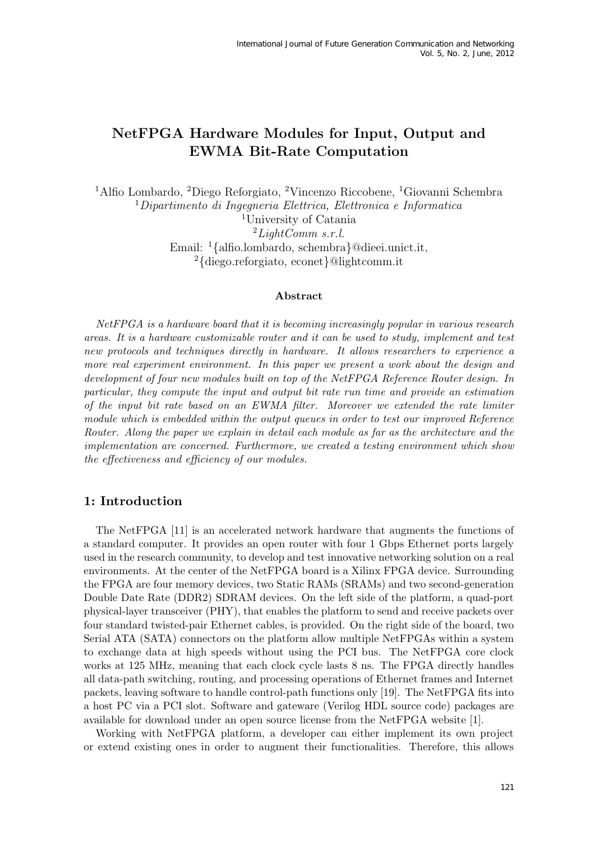# NetFPGA Hardware Modules for Input, Output and EWMA Bit-Rate Computation

Alfio Lombardo, <sup>2</sup>Diego Reforgiato, <sup>2</sup>Vincenzo Riccobene, <sup>1</sup>Giovanni Schembra Dipartimento di Ingegneria Elettrica, Elettronica e Informatica University of Catania  $^{2}LightComm \; s.r.l.$ Email: <sup>1</sup>{alfio.lombardo, schembra}@dieei.unict.it, {diego.reforgiato, econet}@lightcomm.it

#### Abstract

NetFPGA is a hardware board that it is becoming increasingly popular in various research areas. It is a hardware customizable router and it can be used to study, implement and test new protocols and techniques directly in hardware. It allows researchers to experience a more real experiment environment. In this paper we present a work about the design and development of four new modules built on top of the NetFPGA Reference Router design. In particular, they compute the input and output bit rate run time and provide an estimation of the input bit rate based on an EWMA filter. Moreover we extended the rate limiter module which is embedded within the output queues in order to test our improved Reference Router. Along the paper we explain in detail each module as far as the architecture and the implementation are concerned. Furthermore, we created a testing environment which show the effectiveness and efficiency of our modules.

### 1: Introduction

The NetFPGA [11] is an accelerated network hardware that augments the functions of a standard computer. It provides an open router with four 1 Gbps Ethernet ports largely used in the research community, to develop and test innovative networking solution on a real environments. At the center of the NetFPGA board is a Xilinx FPGA device. Surrounding the FPGA are four memory devices, two Static RAMs (SRAMs) and two second-generation Double Date Rate (DDR2) SDRAM devices. On the left side of the platform, a quad-port physical-layer transceiver (PHY), that enables the platform to send and receive packets over four standard twisted-pair Ethernet cables, is provided. On the right side of the board, two Serial ATA (SATA) connectors on the platform allow multiple NetFPGAs within a system to exchange data at high speeds without using the PCI bus. The NetFPGA core clock works at 125 MHz, meaning that each clock cycle lasts 8 ns. The FPGA directly handles all data-path switching, routing, and processing operations of Ethernet frames and Internet packets, leaving software to handle control-path functions only [19]. The NetFPGA fits into a host PC via a PCI slot. Software and gateware (Verilog HDL source code) packages are available for download under an open source license from the NetFPGA website [1].

Working with NetFPGA platform, a developer can either implement its own project or extend existing ones in order to augment their functionalities. Therefore, this allows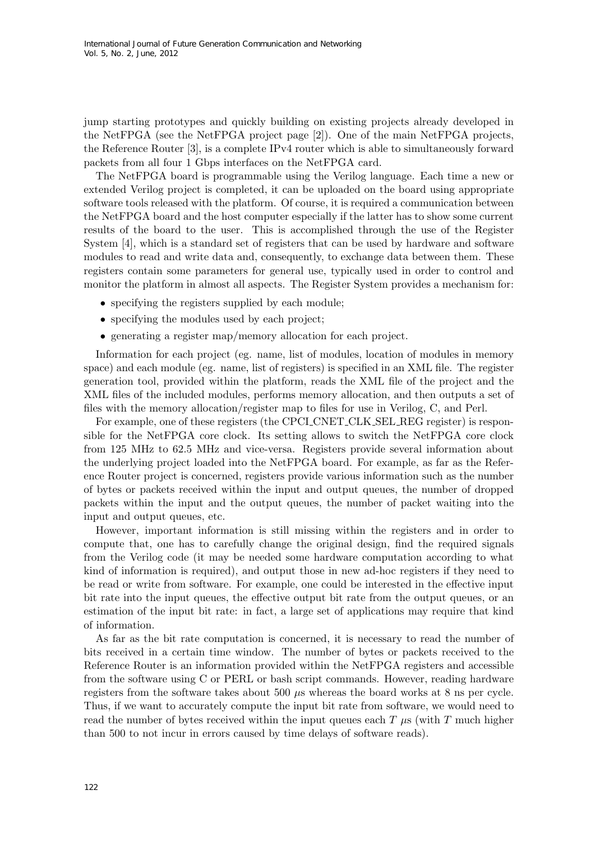jump starting prototypes and quickly building on existing projects already developed in the NetFPGA (see the NetFPGA project page [2]). One of the main NetFPGA projects, the Reference Router [3], is a complete IPv4 router which is able to simultaneously forward packets from all four 1 Gbps interfaces on the NetFPGA card.

The NetFPGA board is programmable using the Verilog language. Each time a new or extended Verilog project is completed, it can be uploaded on the board using appropriate software tools released with the platform. Of course, it is required a communication between the NetFPGA board and the host computer especially if the latter has to show some current results of the board to the user. This is accomplished through the use of the Register System [4], which is a standard set of registers that can be used by hardware and software modules to read and write data and, consequently, to exchange data between them. These registers contain some parameters for general use, typically used in order to control and monitor the platform in almost all aspects. The Register System provides a mechanism for:

- specifying the registers supplied by each module;
- specifying the modules used by each project;
- generating a register map/memory allocation for each project.

Information for each project (eg. name, list of modules, location of modules in memory space) and each module (eg. name, list of registers) is specified in an XML file. The register generation tool, provided within the platform, reads the XML file of the project and the XML files of the included modules, performs memory allocation, and then outputs a set of files with the memory allocation/register map to files for use in Verilog, C, and Perl.

For example, one of these registers (the CPCI CNET CLK SEL REG register) is responsible for the NetFPGA core clock. Its setting allows to switch the NetFPGA core clock from 125 MHz to 62.5 MHz and vice-versa. Registers provide several information about the underlying project loaded into the NetFPGA board. For example, as far as the Reference Router project is concerned, registers provide various information such as the number of bytes or packets received within the input and output queues, the number of dropped packets within the input and the output queues, the number of packet waiting into the input and output queues, etc.

However, important information is still missing within the registers and in order to compute that, one has to carefully change the original design, find the required signals from the Verilog code (it may be needed some hardware computation according to what kind of information is required), and output those in new ad-hoc registers if they need to be read or write from software. For example, one could be interested in the effective input bit rate into the input queues, the effective output bit rate from the output queues, or an estimation of the input bit rate: in fact, a large set of applications may require that kind of information.

As far as the bit rate computation is concerned, it is necessary to read the number of bits received in a certain time window. The number of bytes or packets received to the Reference Router is an information provided within the NetFPGA registers and accessible from the software using C or PERL or bash script commands. However, reading hardware registers from the software takes about 500 µs whereas the board works at 8 ns per cycle. Thus, if we want to accurately compute the input bit rate from software, we would need to read the number of bytes received within the input queues each  $T \mu s$  (with  $T$  much higher than 500 to not incur in errors caused by time delays of software reads).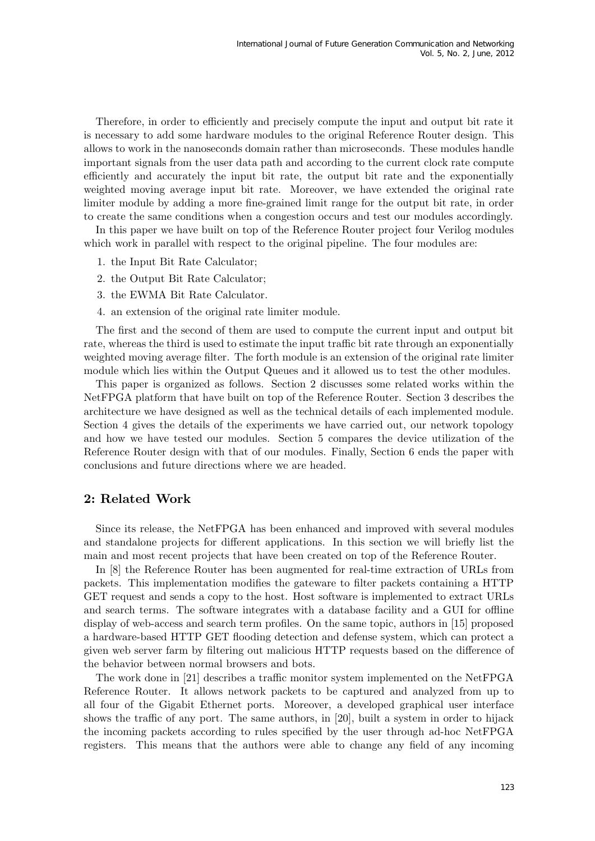Therefore, in order to efficiently and precisely compute the input and output bit rate it is necessary to add some hardware modules to the original Reference Router design. This allows to work in the nanoseconds domain rather than microseconds. These modules handle important signals from the user data path and according to the current clock rate compute efficiently and accurately the input bit rate, the output bit rate and the exponentially weighted moving average input bit rate. Moreover, we have extended the original rate limiter module by adding a more fine-grained limit range for the output bit rate, in order to create the same conditions when a congestion occurs and test our modules accordingly.

In this paper we have built on top of the Reference Router project four Verilog modules which work in parallel with respect to the original pipeline. The four modules are:

- 1. the Input Bit Rate Calculator;
- 2. the Output Bit Rate Calculator;
- 3. the EWMA Bit Rate Calculator.
- 4. an extension of the original rate limiter module.

The first and the second of them are used to compute the current input and output bit rate, whereas the third is used to estimate the input traffic bit rate through an exponentially weighted moving average filter. The forth module is an extension of the original rate limiter module which lies within the Output Queues and it allowed us to test the other modules.

This paper is organized as follows. Section 2 discusses some related works within the NetFPGA platform that have built on top of the Reference Router. Section 3 describes the architecture we have designed as well as the technical details of each implemented module. Section 4 gives the details of the experiments we have carried out, our network topology and how we have tested our modules. Section 5 compares the device utilization of the Reference Router design with that of our modules. Finally, Section 6 ends the paper with conclusions and future directions where we are headed.

#### 2: Related Work

Since its release, the NetFPGA has been enhanced and improved with several modules and standalone projects for different applications. In this section we will briefly list the main and most recent projects that have been created on top of the Reference Router.

In [8] the Reference Router has been augmented for real-time extraction of URLs from packets. This implementation modifies the gateware to filter packets containing a HTTP GET request and sends a copy to the host. Host software is implemented to extract URLs and search terms. The software integrates with a database facility and a GUI for offline display of web-access and search term profiles. On the same topic, authors in [15] proposed a hardware-based HTTP GET flooding detection and defense system, which can protect a given web server farm by filtering out malicious HTTP requests based on the difference of the behavior between normal browsers and bots.

The work done in [21] describes a traffic monitor system implemented on the NetFPGA Reference Router. It allows network packets to be captured and analyzed from up to all four of the Gigabit Ethernet ports. Moreover, a developed graphical user interface shows the traffic of any port. The same authors, in [20], built a system in order to hijack the incoming packets according to rules specified by the user through ad-hoc NetFPGA registers. This means that the authors were able to change any field of any incoming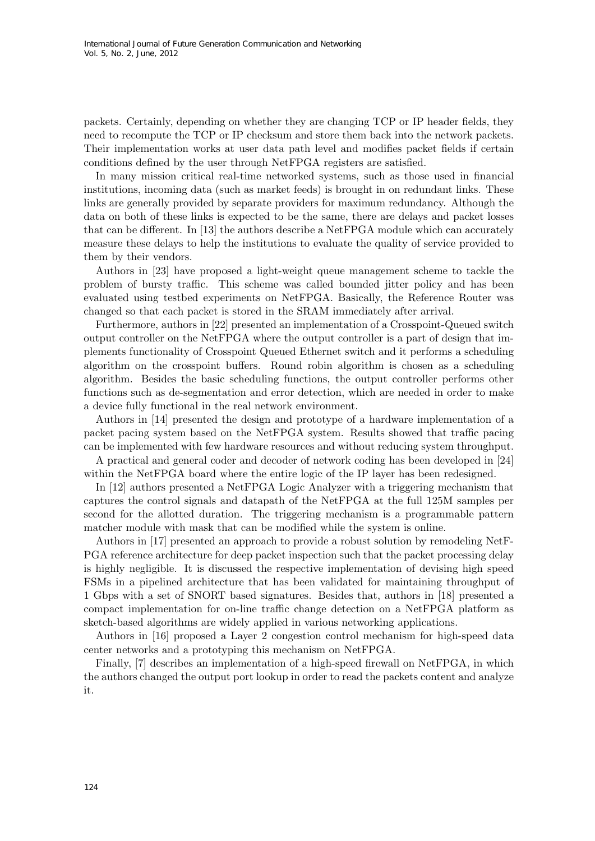packets. Certainly, depending on whether they are changing TCP or IP header fields, they need to recompute the TCP or IP checksum and store them back into the network packets. Their implementation works at user data path level and modifies packet fields if certain conditions defined by the user through NetFPGA registers are satisfied.

In many mission critical real-time networked systems, such as those used in financial institutions, incoming data (such as market feeds) is brought in on redundant links. These links are generally provided by separate providers for maximum redundancy. Although the data on both of these links is expected to be the same, there are delays and packet losses that can be different. In [13] the authors describe a NetFPGA module which can accurately measure these delays to help the institutions to evaluate the quality of service provided to them by their vendors.

Authors in [23] have proposed a light-weight queue management scheme to tackle the problem of bursty traffic. This scheme was called bounded jitter policy and has been evaluated using testbed experiments on NetFPGA. Basically, the Reference Router was changed so that each packet is stored in the SRAM immediately after arrival.

Furthermore, authors in [22] presented an implementation of a Crosspoint-Queued switch output controller on the NetFPGA where the output controller is a part of design that implements functionality of Crosspoint Queued Ethernet switch and it performs a scheduling algorithm on the crosspoint buffers. Round robin algorithm is chosen as a scheduling algorithm. Besides the basic scheduling functions, the output controller performs other functions such as de-segmentation and error detection, which are needed in order to make a device fully functional in the real network environment.

Authors in [14] presented the design and prototype of a hardware implementation of a packet pacing system based on the NetFPGA system. Results showed that traffic pacing can be implemented with few hardware resources and without reducing system throughput.

A practical and general coder and decoder of network coding has been developed in [24] within the NetFPGA board where the entire logic of the IP layer has been redesigned.

In [12] authors presented a NetFPGA Logic Analyzer with a triggering mechanism that captures the control signals and datapath of the NetFPGA at the full 125M samples per second for the allotted duration. The triggering mechanism is a programmable pattern matcher module with mask that can be modified while the system is online.

Authors in [17] presented an approach to provide a robust solution by remodeling NetF-PGA reference architecture for deep packet inspection such that the packet processing delay is highly negligible. It is discussed the respective implementation of devising high speed FSMs in a pipelined architecture that has been validated for maintaining throughput of 1 Gbps with a set of SNORT based signatures. Besides that, authors in [18] presented a compact implementation for on-line traffic change detection on a NetFPGA platform as sketch-based algorithms are widely applied in various networking applications.

Authors in [16] proposed a Layer 2 congestion control mechanism for high-speed data center networks and a prototyping this mechanism on NetFPGA.

Finally, [7] describes an implementation of a high-speed firewall on NetFPGA, in which the authors changed the output port lookup in order to read the packets content and analyze it.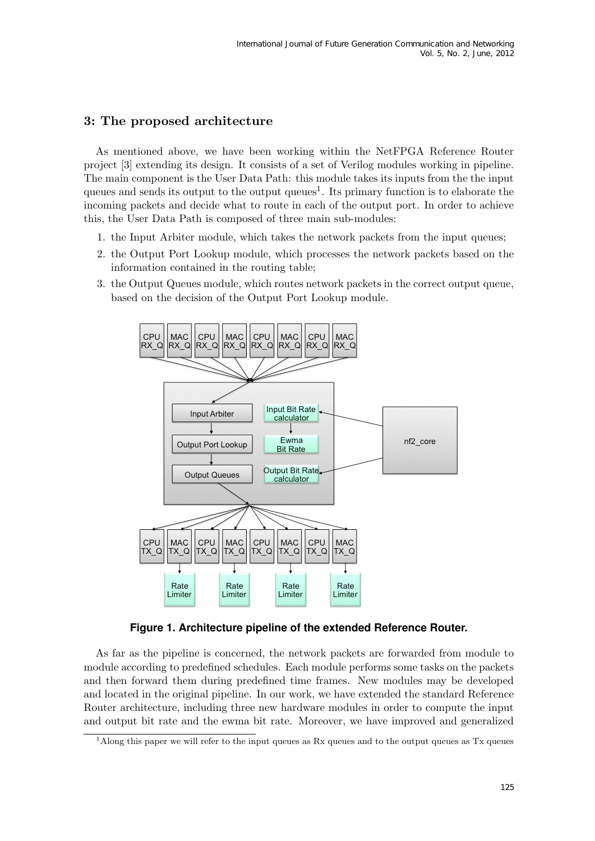## 3: The proposed architecture

As mentioned above, we have been working within the NetFPGA Reference Router project [3] extending its design. It consists of a set of Verilog modules working in pipeline. The main component is the User Data Path: this module takes its inputs from the the input queues and sends its output to the output  $\alpha$  queues<sup>1</sup>. Its primary function is to elaborate the incoming packets and decide what to route in each of the output port. In order to achieve this, the User Data Path is composed of three main sub-modules:

- 1. the Input Arbiter module, which takes the network packets from the input queues;
- 2. the Output Port Lookup module, which processes the network packets based on the information contained in the routing table;
- 3. the Output Queues module, which routes network packets in the correct output queue, based on the decision of the Output Port Lookup module.



**Figure 1. Architecture pipeline of the extended Reference Router.**

As far as the pipeline is concerned, the network packets are forwarded from module to module according to predefined schedules. Each module performs some tasks on the packets and then forward them during predefined time frames. New modules may be developed and located in the original pipeline. In our work, we have extended the standard Reference Router architecture, including three new hardware modules in order to compute the input and output bit rate and the ewma bit rate. Moreover, we have improved and generalized

<sup>&</sup>lt;sup>1</sup> Along this paper we will refer to the input queues as Rx queues and to the output queues as Tx queues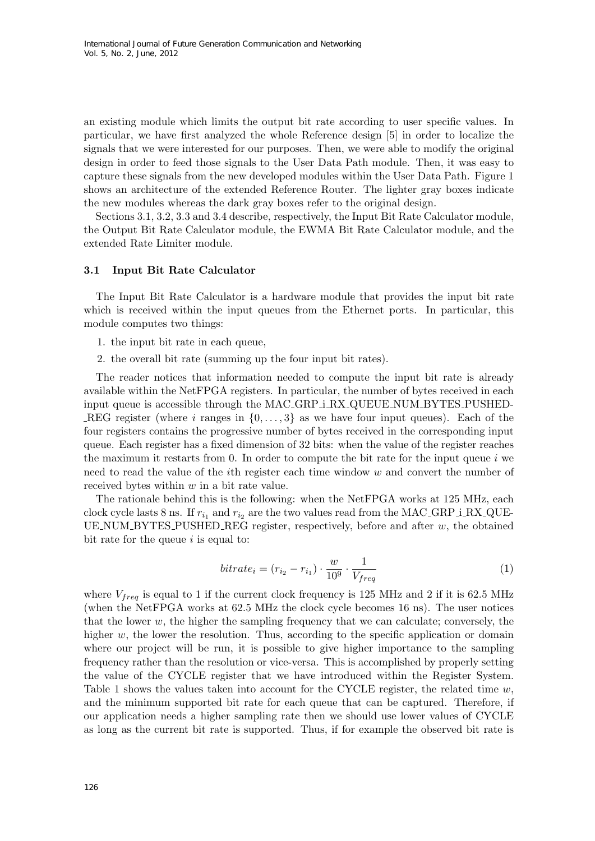an existing module which limits the output bit rate according to user specific values. In particular, we have first analyzed the whole Reference design [5] in order to localize the signals that we were interested for our purposes. Then, we were able to modify the original design in order to feed those signals to the User Data Path module. Then, it was easy to capture these signals from the new developed modules within the User Data Path. Figure 1 shows an architecture of the extended Reference Router. The lighter gray boxes indicate the new modules whereas the dark gray boxes refer to the original design.

Sections 3.1, 3.2, 3.3 and 3.4 describe, respectively, the Input Bit Rate Calculator module, the Output Bit Rate Calculator module, the EWMA Bit Rate Calculator module, and the extended Rate Limiter module.

#### 3.1 Input Bit Rate Calculator

The Input Bit Rate Calculator is a hardware module that provides the input bit rate which is received within the input queues from the Ethernet ports. In particular, this module computes two things:

- 1. the input bit rate in each queue,
- 2. the overall bit rate (summing up the four input bit rates).

The reader notices that information needed to compute the input bit rate is already available within the NetFPGA registers. In particular, the number of bytes received in each input queue is accessible through the MAC GRP i RX QUEUE NUM BYTES PUSHED-REG register (where i ranges in  $\{0, \ldots, 3\}$  as we have four input queues). Each of the four registers contains the progressive number of bytes received in the corresponding input queue. Each register has a fixed dimension of 32 bits: when the value of the register reaches the maximum it restarts from 0. In order to compute the bit rate for the input queue  $i$  we need to read the value of the ith register each time window w and convert the number of received bytes within w in a bit rate value.

The rationale behind this is the following: when the NetFPGA works at 125 MHz, each clock cycle lasts 8 ns. If  $r_{i_1}$  and  $r_{i_2}$  are the two values read from the MAC\_GRP\_i\_RX\_QUE-UE NUM BYTES PUSHED REG register, respectively, before and after  $w$ , the obtained bit rate for the queue  $i$  is equal to:

$$
bitrate_i = (r_{i_2} - r_{i_1}) \cdot \frac{w}{10^9} \cdot \frac{1}{V_{freq}} \tag{1}
$$

where  $V_{freq}$  is equal to 1 if the current clock frequency is 125 MHz and 2 if it is 62.5 MHz (when the NetFPGA works at 62.5 MHz the clock cycle becomes 16 ns). The user notices that the lower  $w$ , the higher the sampling frequency that we can calculate; conversely, the higher w, the lower the resolution. Thus, according to the specific application or domain where our project will be run, it is possible to give higher importance to the sampling frequency rather than the resolution or vice-versa. This is accomplished by properly setting the value of the CYCLE register that we have introduced within the Register System. Table 1 shows the values taken into account for the CYCLE register, the related time  $w$ , and the minimum supported bit rate for each queue that can be captured. Therefore, if our application needs a higher sampling rate then we should use lower values of CYCLE as long as the current bit rate is supported. Thus, if for example the observed bit rate is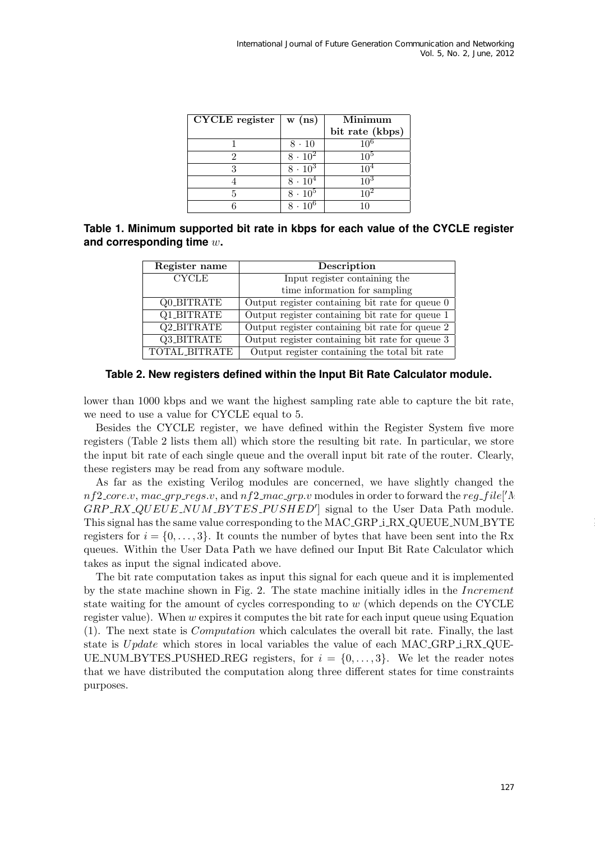| CYCLE register | $\mathbf{w}$ (ns)         | Minimum         |
|----------------|---------------------------|-----------------|
|                |                           | bit rate (kbps) |
|                | $8 \cdot 10$              | 106             |
|                | $8 \cdot 10^{2}$          | $10^{5}$        |
|                | $8 \cdot \overline{10^3}$ | 10 <sup>4</sup> |
|                | $8 \cdot 10^{4}$          | $10^{3}$        |
|                | $8 \cdot 10^{5}$          | 10 <sup>2</sup> |
|                |                           |                 |

| Table 1. Minimum supported bit rate in kbps for each value of the CYCLE register |  |  |
|----------------------------------------------------------------------------------|--|--|
| and corresponding time $w$ .                                                     |  |  |

| Register name | Description                                     |  |
|---------------|-------------------------------------------------|--|
| <b>CYCLE</b>  | Input register containing the                   |  |
|               | time information for sampling                   |  |
| Q0_BITRATE    | Output register containing bit rate for queue 0 |  |
| Q1_BITRATE    | Output register containing bit rate for queue 1 |  |
| Q2_BITRATE    | Output register containing bit rate for queue 2 |  |
| Q3_BITRATE    | Output register containing bit rate for queue 3 |  |
| TOTAL_BITRATE | Output register containing the total bit rate   |  |



lower than 1000 kbps and we want the highest sampling rate able to capture the bit rate, we need to use a value for CYCLE equal to 5.

Besides the CYCLE register, we have defined within the Register System five more registers (Table 2 lists them all) which store the resulting bit rate. In particular, we store the input bit rate of each single queue and the overall input bit rate of the router. Clearly, these registers may be read from any software module.

As far as the existing Verilog modules are concerned, we have slightly changed the  $nf2\_core.v, mac\_grp\_regs.v,$  and  $nf2\_mac\_grp.v$  modules in order to forward the  $reg\_file['\Lambda]$ GRP\_RX\_QUEUE\_NUM\_BYTES\_PUSHED' signal to the User Data Path module. This signal has the same value corresponding to the MAC\_GRP\_i\_RX\_QUEUE\_NUM\_BYTE registers for  $i = \{0, \ldots, 3\}$ . It counts the number of bytes that have been sent into the Rx queues. Within the User Data Path we have defined our Input Bit Rate Calculator which takes as input the signal indicated above.

The bit rate computation takes as input this signal for each queue and it is implemented by the state machine shown in Fig. 2. The state machine initially idles in the Increment state waiting for the amount of cycles corresponding to w (which depends on the CYCLE register value). When  $w$  expires it computes the bit rate for each input queue using Equation (1). The next state is Computation which calculates the overall bit rate. Finally, the last state is  $Update$  which stores in local variables the value of each  $MAC\_GRP \text{-}LRX \text{-}QUE-$ UE NUM BYTES PUSHED REG registers, for  $i = \{0, \ldots, 3\}$ . We let the reader notes that we have distributed the computation along three different states for time constraints purposes.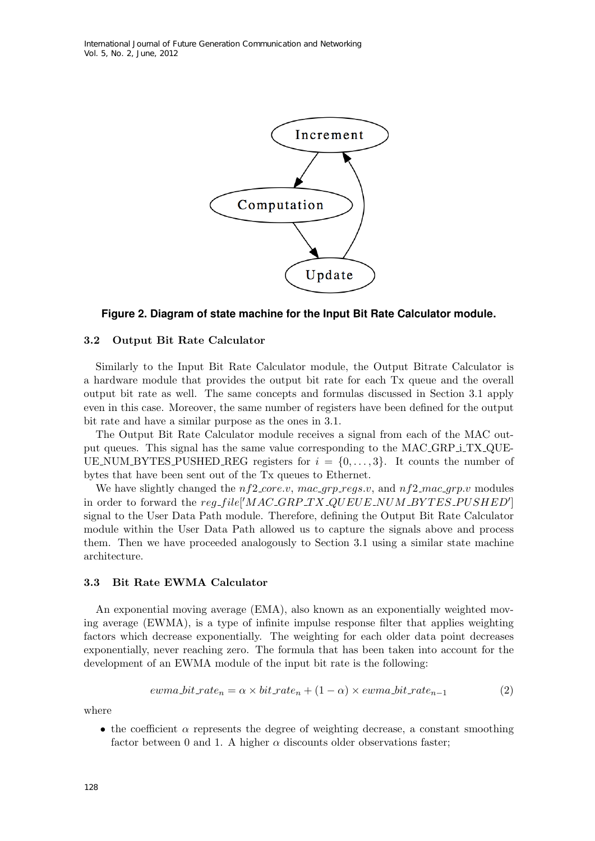

#### **Figure 2. Diagram of state machine for the Input Bit Rate Calculator module.**

#### 3.2 Output Bit Rate Calculator

Similarly to the Input Bit Rate Calculator module, the Output Bitrate Calculator is a hardware module that provides the output bit rate for each Tx queue and the overall output bit rate as well. The same concepts and formulas discussed in Section 3.1 apply even in this case. Moreover, the same number of registers have been defined for the output bit rate and have a similar purpose as the ones in 3.1.

The Output Bit Rate Calculator module receives a signal from each of the MAC output queues. This signal has the same value corresponding to the MAC GRP i TX QUE-UE NUM BYTES PUSHED REG registers for  $i = \{0, \ldots, 3\}$ . It counts the number of bytes that have been sent out of the Tx queues to Ethernet.

We have slightly changed the  $nf2.core.v$ ,  $mac_qrp_{regs.v}$ , and  $nf2.mac_qrp.v$  modules in order to forward the reg\_file<sup>['</sup>MAC\_GRP\_TX\_QUEUE\_NUM\_BYTES\_PUSHED'] signal to the User Data Path module. Therefore, defining the Output Bit Rate Calculator module within the User Data Path allowed us to capture the signals above and process them. Then we have proceeded analogously to Section 3.1 using a similar state machine architecture.

#### 3.3 Bit Rate EWMA Calculator

An exponential moving average (EMA), also known as an exponentially weighted moving average (EWMA), is a type of infinite impulse response filter that applies weighting factors which decrease exponentially. The weighting for each older data point decreases exponentially, never reaching zero. The formula that has been taken into account for the development of an EWMA module of the input bit rate is the following:

$$
ewma\_bit\_rate_n = \alpha \times bit\_rate_n + (1 - \alpha) \times ewma\_bit\_rate_{n-1}
$$
\n(2)

where

• the coefficient  $\alpha$  represents the degree of weighting decrease, a constant smoothing factor between 0 and 1. A higher  $\alpha$  discounts older observations faster;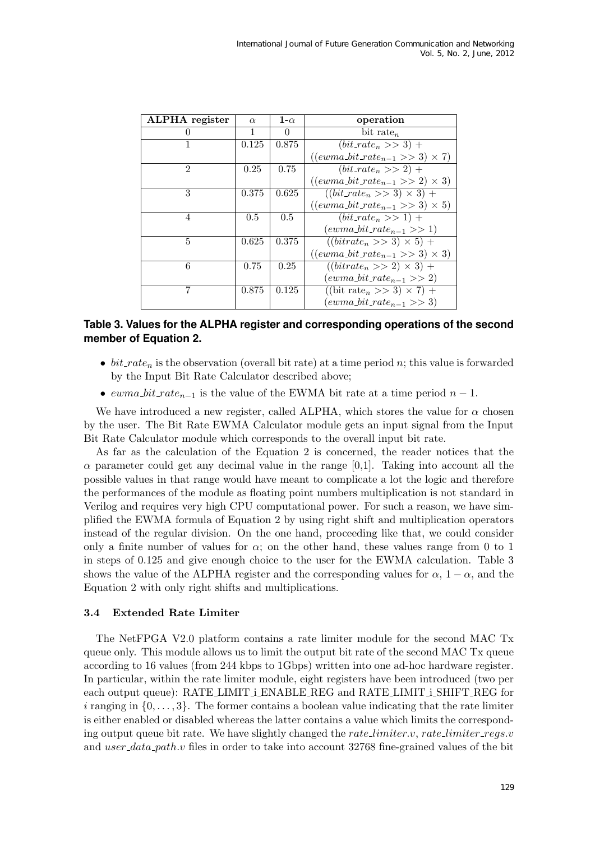| <b>ALPHA</b> register | $\alpha$ | 1- $\alpha$ | operation                                 |
|-----------------------|----------|-------------|-------------------------------------------|
|                       | 1        | 0           | bit rate <sub>n</sub>                     |
|                       | 0.125    | 0.875       | $(bit_rate_n \gg 3) +$                    |
|                       |          |             | $((ewma\_bit\_rate_{n-1} >> 3) \times 7)$ |
| $\mathfrak{D}$        | 0.25     | 0.75        | $(bit_rate_n >> 2) +$                     |
|                       |          |             | $((ewma\_bit\_rate_{n-1} >> 2) \times 3)$ |
| 3                     | 0.375    | 0.625       | $((bit_rate_n >> 3) \times 3) +$          |
|                       |          |             | $((ewma\_bit\_rate_{n-1} >> 3) \times 5)$ |
| 4                     | 0.5      | 0.5         | $(bit_rate_n >> 1) +$                     |
|                       |          |             | $(ewma_bit_rate_{n-1} >> 1)$              |
| 5                     | 0.625    | 0.375       | $\sqrt{(bitrate_n} >> 3) \times 5$ +      |
|                       |          |             | $((ewma\_bit\_rate_{n-1} >> 3) \times 3)$ |
| 6                     | 0.75     | 0.25        | $((bitrate_n >> 2) \times 3) +$           |
|                       |          |             | $(ewma\_bit\_rate_{n-1} >> 2)$            |
| 7                     | 0.875    | 0.125       | $((\text{bit rate}_n >> 3) \times 7)$ +   |
|                       |          |             | $(ewma\_bit\_rate_{n-1} >> 3)$            |

### **Table 3. Values for the ALPHA register and corresponding operations of the second member of Equation 2.**

- bit rate<sub>n</sub> is the observation (overall bit rate) at a time period n; this value is forwarded by the Input Bit Rate Calculator described above;
- ewma\_bit\_rate<sub>n-1</sub> is the value of the EWMA bit rate at a time period  $n-1$ .

We have introduced a new register, called ALPHA, which stores the value for  $\alpha$  chosen by the user. The Bit Rate EWMA Calculator module gets an input signal from the Input Bit Rate Calculator module which corresponds to the overall input bit rate.

As far as the calculation of the Equation 2 is concerned, the reader notices that the  $\alpha$  parameter could get any decimal value in the range [0,1]. Taking into account all the possible values in that range would have meant to complicate a lot the logic and therefore the performances of the module as floating point numbers multiplication is not standard in Verilog and requires very high CPU computational power. For such a reason, we have simplified the EWMA formula of Equation 2 by using right shift and multiplication operators instead of the regular division. On the one hand, proceeding like that, we could consider only a finite number of values for  $\alpha$ ; on the other hand, these values range from 0 to 1 in steps of 0.125 and give enough choice to the user for the EWMA calculation. Table 3 shows the value of the ALPHA register and the corresponding values for  $\alpha$ , 1 –  $\alpha$ , and the Equation 2 with only right shifts and multiplications.

#### 3.4 Extended Rate Limiter

The NetFPGA V2.0 platform contains a rate limiter module for the second MAC Tx queue only. This module allows us to limit the output bit rate of the second MAC Tx queue according to 16 values (from 244 kbps to 1Gbps) written into one ad-hoc hardware register. In particular, within the rate limiter module, eight registers have been introduced (two per each output queue): RATE\_LIMIT\_i\_ENABLE\_REG and RATE\_LIMIT\_i\_SHIFT\_REG for i ranging in  $\{0, \ldots, 3\}$ . The former contains a boolean value indicating that the rate limiter is either enabled or disabled whereas the latter contains a value which limits the corresponding output queue bit rate. We have slightly changed the *rate limiter* v, *rate limiter regs.v* and user  $data$ -path.v files in order to take into account 32768 fine-grained values of the bit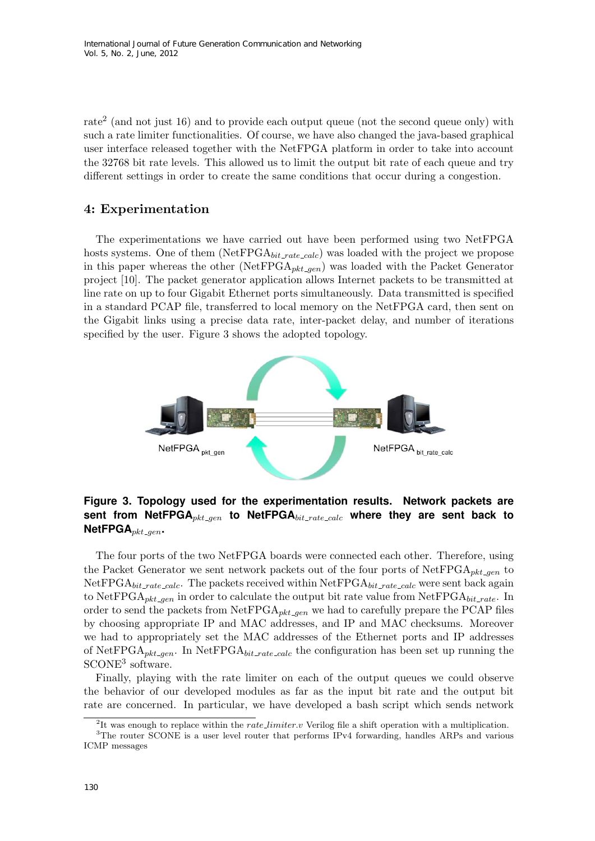rate<sup>2</sup> (and not just 16) and to provide each output queue (not the second queue only) with such a rate limiter functionalities. Of course, we have also changed the java-based graphical user interface released together with the NetFPGA platform in order to take into account the 32768 bit rate levels. This allowed us to limit the output bit rate of each queue and try different settings in order to create the same conditions that occur during a congestion.

### 4: Experimentation

The experimentations we have carried out have been performed using two NetFPGA hosts systems. One of them  $(NetFPGA_{bit\_rate\_calc})$  was loaded with the project we propose in this paper whereas the other (NetFPGA<sub>pkt gen</sub>) was loaded with the Packet Generator project [10]. The packet generator application allows Internet packets to be transmitted at line rate on up to four Gigabit Ethernet ports simultaneously. Data transmitted is specified in a standard PCAP file, transferred to local memory on the NetFPGA card, then sent on the Gigabit links using a precise data rate, inter-packet delay, and number of iterations specified by the user. Figure 3 shows the adopted topology.



**Figure 3. Topology used for the experimentation results. Network packets are** sent from NetFPGA<sub>pkt-gen</sub> to NetFPGA<sub>bit-rate-calc</sub> where they are sent back to **NetFPGA**<sub>pkt-gen</sub>.

The four ports of the two NetFPGA boards were connected each other. Therefore, using the Packet Generator we sent network packets out of the four ports of  $NetFPGA_{pkt\_gen}$  to  $NetFPGA_{bit\_rate\_calc}$ . The packets received within  $NetFPGA_{bit\_rate\_calc}$  were sent back again to NetFPGA<sub>pkt-gen</sub> in order to calculate the output bit rate value from NetFPGA<sub>bit-rate</sub>. In order to send the packets from  $\text{NetFPGA}_{\text{pkt}\_\text{gen}}$  we had to carefully prepare the PCAP files by choosing appropriate IP and MAC addresses, and IP and MAC checksums. Moreover we had to appropriately set the MAC addresses of the Ethernet ports and IP addresses of NetFPGA<sub>pkt-gen</sub>. In NetFPGA<sub>bit-rate-calc</sub> the configuration has been set up running the SCONE<sup>3</sup> software.

Finally, playing with the rate limiter on each of the output queues we could observe the behavior of our developed modules as far as the input bit rate and the output bit rate are concerned. In particular, we have developed a bash script which sends network

<sup>&</sup>lt;sup>2</sup>It was enough to replace within the *rate limiter*. Verilog file a shift operation with a multiplication.

<sup>&</sup>lt;sup>3</sup>The router SCONE is a user level router that performs IPv4 forwarding, handles ARPs and various ICMP messages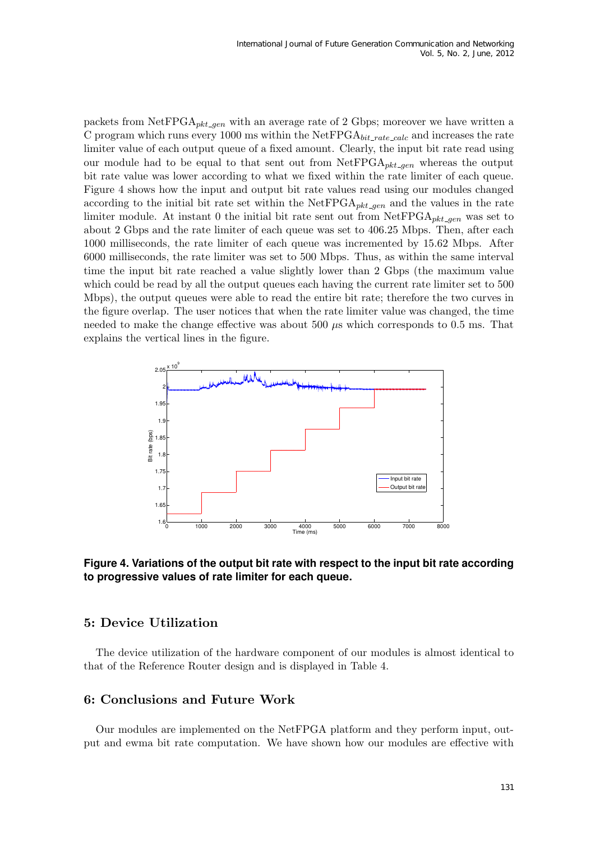packets from NetFPGA<sub>pkt-gen</sub> with an average rate of 2 Gbps; moreover we have written a C program which runs every 1000 ms within the NetFPGA $_{bit_rate\_calc}$  and increases the rate limiter value of each output queue of a fixed amount. Clearly, the input bit rate read using our module had to be equal to that sent out from  $\text{NetFPGA}_{pkt\_gen}$  whereas the output bit rate value was lower according to what we fixed within the rate limiter of each queue. Figure 4 shows how the input and output bit rate values read using our modules changed according to the initial bit rate set within the NetFPGA<sub>pkt gen</sub> and the values in the rate limiter module. At instant 0 the initial bit rate sent out from  $\text{NetFPGA}_{\text{pkt}\_\text{open}}$  was set to about 2 Gbps and the rate limiter of each queue was set to 406.25 Mbps. Then, after each 1000 milliseconds, the rate limiter of each queue was incremented by 15.62 Mbps. After 6000 milliseconds, the rate limiter was set to 500 Mbps. Thus, as within the same interval time the input bit rate reached a value slightly lower than 2 Gbps (the maximum value which could be read by all the output queues each having the current rate limiter set to 500 Mbps), the output queues were able to read the entire bit rate; therefore the two curves in the figure overlap. The user notices that when the rate limiter value was changed, the time needed to make the change effective was about  $500 \mu s$  which corresponds to 0.5 ms. That explains the vertical lines in the figure.



### **Figure 4. Variations of the output bit rate with respect to the input bit rate according to progressive values of rate limiter for each queue.**

### 5: Device Utilization

The device utilization of the hardware component of our modules is almost identical to that of the Reference Router design and is displayed in Table 4.

### 6: Conclusions and Future Work

Our modules are implemented on the NetFPGA platform and they perform input, output and ewma bit rate computation. We have shown how our modules are effective with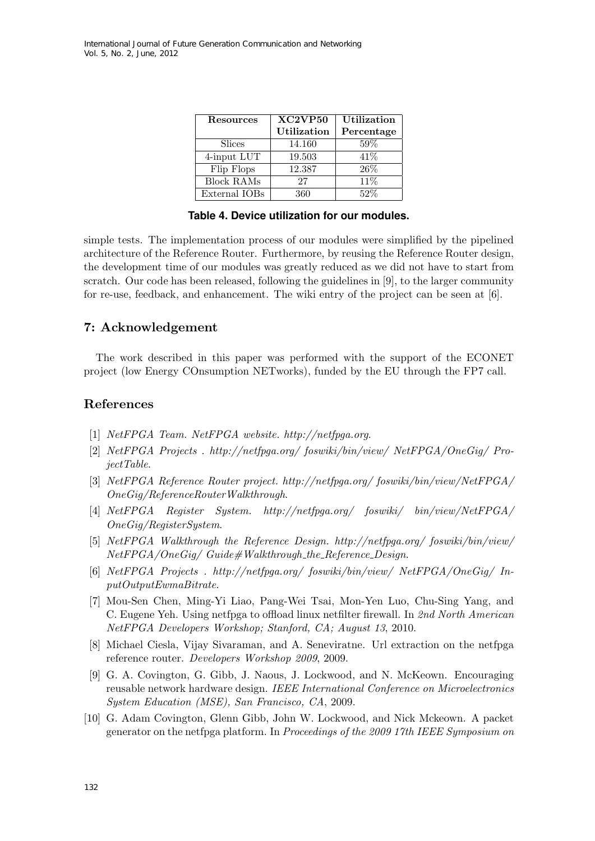| Resources     | XC2VP50            | <b>Utilization</b> |
|---------------|--------------------|--------------------|
|               | <b>Utilization</b> | Percentage         |
| Slices        | 14.160             | 59%                |
| 4-input LUT   | 19.503             | 41%                |
| Flip Flops    | 12.387             | 26%                |
| Block $RAMs$  | 27                 | 11\%               |
| External IOBs | 360                | 52%                |

**Table 4. Device utilization for our modules.**

simple tests. The implementation process of our modules were simplified by the pipelined architecture of the Reference Router. Furthermore, by reusing the Reference Router design, the development time of our modules was greatly reduced as we did not have to start from scratch. Our code has been released, following the guidelines in [9], to the larger community for re-use, feedback, and enhancement. The wiki entry of the project can be seen at [6].

### 7: Acknowledgement

The work described in this paper was performed with the support of the ECONET project (low Energy COnsumption NETworks), funded by the EU through the FP7 call.

### References

- [1] NetFPGA Team. NetFPGA website. http://netfpga.org.
- [2] NetFPGA Projects . http://netfpga.org/ foswiki/bin/view/ NetFPGA/OneGig/ ProjectTable.
- [3] NetFPGA Reference Router project. http://netfpga.org/ foswiki/bin/view/NetFPGA/ OneGig/ReferenceRouterWalkthrough.
- [4] NetFPGA Register System. http://netfpga.org/ foswiki/ bin/view/NetFPGA/ OneGig/RegisterSystem.
- [5] NetFPGA Walkthrough the Reference Design. http://netfpga.org/ foswiki/bin/view/  $NetFPGA/OneGiq/Guide \#Walk through\_the\_Reference\_Design.$
- [6] NetFPGA Projects . http://netfpga.org/ foswiki/bin/view/ NetFPGA/OneGig/ InputOutputEwmaBitrate.
- [7] Mou-Sen Chen, Ming-Yi Liao, Pang-Wei Tsai, Mon-Yen Luo, Chu-Sing Yang, and C. Eugene Yeh. Using netfpga to offload linux netfilter firewall. In 2nd North American NetFPGA Developers Workshop; Stanford, CA; August 13, 2010.
- [8] Michael Ciesla, Vijay Sivaraman, and A. Seneviratne. Url extraction on the netfpga reference router. Developers Workshop 2009, 2009.
- [9] G. A. Covington, G. Gibb, J. Naous, J. Lockwood, and N. McKeown. Encouraging reusable network hardware design. IEEE International Conference on Microelectronics System Education (MSE), San Francisco, CA, 2009.
- [10] G. Adam Covington, Glenn Gibb, John W. Lockwood, and Nick Mckeown. A packet generator on the netfpga platform. In Proceedings of the 2009 17th IEEE Symposium on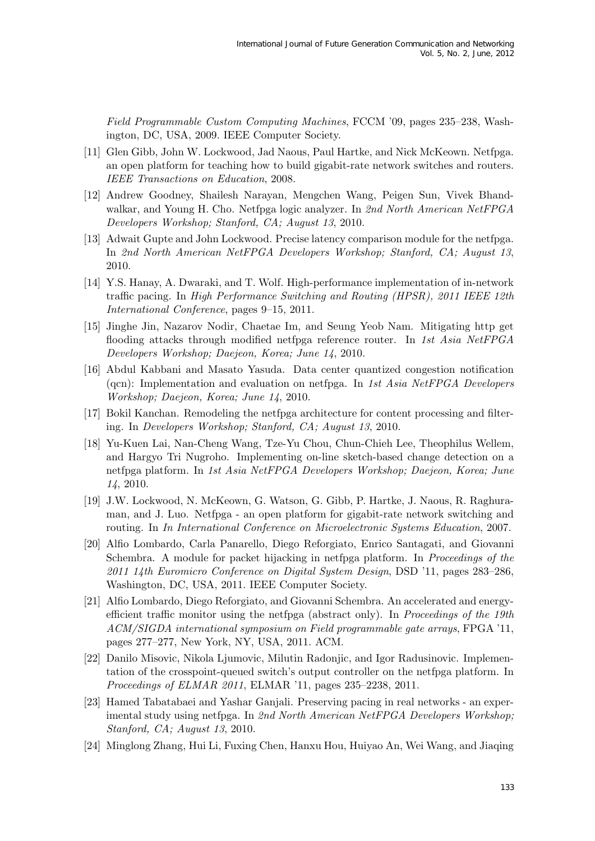Field Programmable Custom Computing Machines, FCCM '09, pages 235–238, Washington, DC, USA, 2009. IEEE Computer Society.

- [11] Glen Gibb, John W. Lockwood, Jad Naous, Paul Hartke, and Nick McKeown. Netfpga. an open platform for teaching how to build gigabit-rate network switches and routers. IEEE Transactions on Education, 2008.
- [12] Andrew Goodney, Shailesh Narayan, Mengchen Wang, Peigen Sun, Vivek Bhandwalkar, and Young H. Cho. Netfpga logic analyzer. In 2nd North American NetFPGA Developers Workshop; Stanford, CA; August 13, 2010.
- [13] Adwait Gupte and John Lockwood. Precise latency comparison module for the netfpga. In 2nd North American NetFPGA Developers Workshop; Stanford, CA; August 13, 2010.
- [14] Y.S. Hanay, A. Dwaraki, and T. Wolf. High-performance implementation of in-network traffic pacing. In High Performance Switching and Routing (HPSR), 2011 IEEE 12th International Conference, pages 9–15, 2011.
- [15] Jinghe Jin, Nazarov Nodir, Chaetae Im, and Seung Yeob Nam. Mitigating http get flooding attacks through modified netfpga reference router. In 1st Asia NetFPGA Developers Workshop; Daejeon, Korea; June 14, 2010.
- [16] Abdul Kabbani and Masato Yasuda. Data center quantized congestion notification (qcn): Implementation and evaluation on netfpga. In 1st Asia NetFPGA Developers Workshop; Daejeon, Korea; June 14, 2010.
- [17] Bokil Kanchan. Remodeling the netfpga architecture for content processing and filtering. In Developers Workshop; Stanford, CA; August 13, 2010.
- [18] Yu-Kuen Lai, Nan-Cheng Wang, Tze-Yu Chou, Chun-Chieh Lee, Theophilus Wellem, and Hargyo Tri Nugroho. Implementing on-line sketch-based change detection on a netfpga platform. In 1st Asia NetFPGA Developers Workshop; Daejeon, Korea; June 14, 2010.
- [19] J.W. Lockwood, N. McKeown, G. Watson, G. Gibb, P. Hartke, J. Naous, R. Raghuraman, and J. Luo. Netfpga - an open platform for gigabit-rate network switching and routing. In In International Conference on Microelectronic Systems Education, 2007.
- [20] Alfio Lombardo, Carla Panarello, Diego Reforgiato, Enrico Santagati, and Giovanni Schembra. A module for packet hijacking in netfpga platform. In Proceedings of the 2011 14th Euromicro Conference on Digital System Design, DSD '11, pages 283–286, Washington, DC, USA, 2011. IEEE Computer Society.
- [21] Alfio Lombardo, Diego Reforgiato, and Giovanni Schembra. An accelerated and energyefficient traffic monitor using the netfpga (abstract only). In *Proceedings of the 19th* ACM/SIGDA international symposium on Field programmable gate arrays, FPGA '11, pages 277–277, New York, NY, USA, 2011. ACM.
- [22] Danilo Misovic, Nikola Ljumovic, Milutin Radonjic, and Igor Radusinovic. Implementation of the crosspoint-queued switch's output controller on the netfpga platform. In Proceedings of ELMAR 2011, ELMAR '11, pages 235–2238, 2011.
- [23] Hamed Tabatabaei and Yashar Ganjali. Preserving pacing in real networks an experimental study using netfpga. In 2nd North American NetFPGA Developers Workshop; Stanford, CA; August 13, 2010.
- [24] Minglong Zhang, Hui Li, Fuxing Chen, Hanxu Hou, Huiyao An, Wei Wang, and Jiaqing